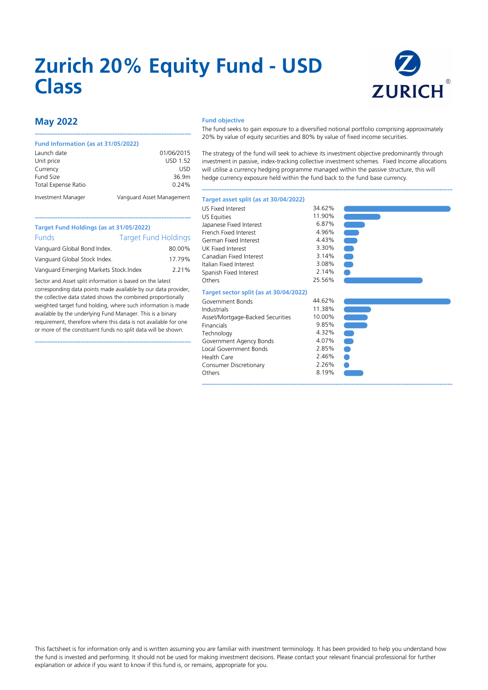# **Zurich 20% Equity Fund - USD Class**



## **May 2022**

#### **Fund Information (as at 31/05/2022)**

| Launch date         | 01/06/2015                |
|---------------------|---------------------------|
| Unit price          | <b>USD 1.52</b>           |
| Currency            | USD                       |
| Fund Size           | 36.9m                     |
| Total Expense Ratio | 0.24%                     |
| Investment Manager  | Vanguard Asset Management |

••••••••••••••••••••••••••••••••••••••••••••••••••••••••••••••••••••••••••••••••••••••••••••••••

#### **Fund objective**

The fund seeks to gain exposure to a diversified notional portfolio comprising approximately 20% by value of equity securities and 80% by value of fixed income securities.

The strategy of the fund will seek to achieve its investment objective predominantly through investment in passive, index-tracking collective investment schemes. Fixed Income allocations will utilise a currency hedging programme managed within the passive structure, this will hedge currency exposure held within the fund back to the fund base currency.

••••••••••••••••••••••••••••••••••••••••••••••••••••••••••••••••••••••••••••••••••••••••••••••••••••••••••••••••••••••••••••••••••••••••••••••••••••••••••

#### **Target asset split (as at 30/04/2022)**

| Target Fund Holdings (as at 31/05/2022)                 |                             |
|---------------------------------------------------------|-----------------------------|
| Funds                                                   | <b>Target Fund Holdings</b> |
| Vanguard Global Bond Index.                             | 80.00%                      |
| Vanguard Global Stock Index.                            | 17.79%                      |
| بتمامس الرامسة كمعملوماته فالمستمعية المسمينية والمستحر | /חור ר                      |

Vanguard Emerging Markets Stock.Index 2.21%

Sector and Asset split information is based on the latest corresponding data points made available by our data provider, the collective data stated shows the combined proportionally weighted target fund holding, where such information is made available by the underlying Fund Manager. This is a binary requirement, therefore where this data is not available for one or more of the constituent funds no split data will be shown.

••••••••••••••••••••••••••••••••••••••••••••••••••••••••••••••••••••••••••••••••••••••••••••••••

| <b>US Fixed Interest</b> | 34.62% |
|--------------------------|--------|
| <b>US Equities</b>       | 11.90% |
| Japanese Fixed Interest  | 6.87%  |
| French Fixed Interest    | 4.96%  |
| German Fixed Interest    | 4.43%  |
| UK Fixed Interest        | 3.30%  |
| Canadian Fixed Interest  | 3.14%  |
| Italian Fixed Interest   | 3.08%  |
| Spanish Fixed Interest   | 2.14%  |
| Others                   | 25.56% |

#### **Target sector split (as at 30/04/2022)**

| Government Bonds                 | 44.62% |
|----------------------------------|--------|
| Industrials                      | 11.38% |
| Asset/Mortgage-Backed Securities | 10.00% |
| Financials                       | 9.85%  |
| Technology                       | 4.32%  |
| Government Agency Bonds          | 4.07%  |
| Local Government Bonds           | 2.85%  |
| Health Care                      | 2.46%  |
| Consumer Discretionary           | 2.26%  |
| Others                           | 8.19%  |
|                                  |        |